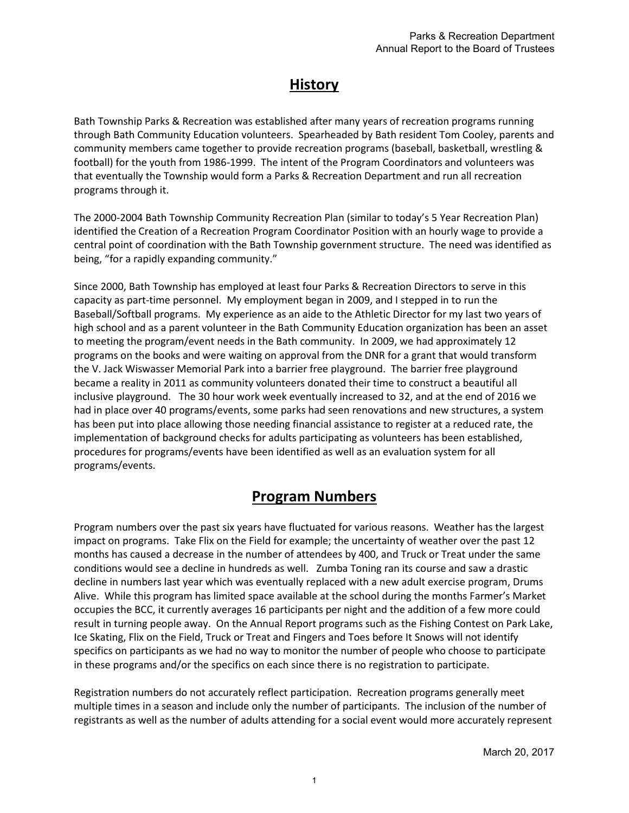# **History**

Bath Township Parks & Recreation was established after many years of recreation programs running through Bath Community Education volunteers. Spearheaded by Bath resident Tom Cooley, parents and community members came together to provide recreation programs (baseball, basketball, wrestling & football) for the youth from 1986-1999. The intent of the Program Coordinators and volunteers was that eventually the Township would form a Parks & Recreation Department and run all recreation programs through it.

The 2000-2004 Bath Township Community Recreation Plan (similar to today's 5 Year Recreation Plan) identified the Creation of a Recreation Program Coordinator Position with an hourly wage to provide a central point of coordination with the Bath Township government structure. The need was identified as being, "for a rapidly expanding community."

Since 2000, Bath Township has employed at least four Parks & Recreation Directors to serve in this capacity as part-time personnel. My employment began in 2009, and I stepped in to run the Baseball/Softball programs. My experience as an aide to the Athletic Director for my last two years of high school and as a parent volunteer in the Bath Community Education organization has been an asset to meeting the program/event needs in the Bath community. In 2009, we had approximately 12 programs on the books and were waiting on approval from the DNR for a grant that would transform the V. Jack Wiswasser Memorial Park into a barrier free playground. The barrier free playground became a reality in 2011 as community volunteers donated their time to construct a beautiful all inclusive playground. The 30 hour work week eventually increased to 32, and at the end of 2016 we had in place over 40 programs/events, some parks had seen renovations and new structures, a system has been put into place allowing those needing financial assistance to register at a reduced rate, the implementation of background checks for adults participating as volunteers has been established, procedures for programs/events have been identified as well as an evaluation system for all programs/events.

## **Program Numbers**

Program numbers over the past six years have fluctuated for various reasons. Weather has the largest impact on programs. Take Flix on the Field for example; the uncertainty of weather over the past 12 months has caused a decrease in the number of attendees by 400, and Truck or Treat under the same conditions would see a decline in hundreds as well. Zumba Toning ran its course and saw a drastic decline in numbers last year which was eventually replaced with a new adult exercise program, Drums Alive. While this program has limited space available at the school during the months Farmer's Market occupies the BCC, it currently averages 16 participants per night and the addition of a few more could result in turning people away. On the Annual Report programs such as the Fishing Contest on Park Lake, Ice Skating, Flix on the Field, Truck or Treat and Fingers and Toes before It Snows will not identify specifics on participants as we had no way to monitor the number of people who choose to participate in these programs and/or the specifics on each since there is no registration to participate.

Registration numbers do not accurately reflect participation. Recreation programs generally meet multiple times in a season and include only the number of participants. The inclusion of the number of registrants as well as the number of adults attending for a social event would more accurately represent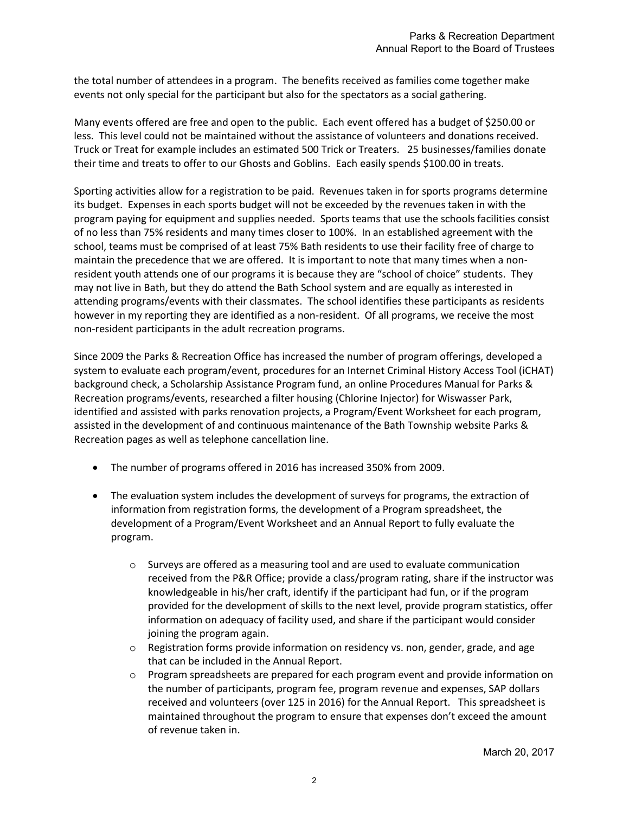the total number of attendees in a program. The benefits received as families come together make events not only special for the participant but also for the spectators as a social gathering.

Many events offered are free and open to the public. Each event offered has a budget of \$250.00 or less. This level could not be maintained without the assistance of volunteers and donations received. Truck or Treat for example includes an estimated 500 Trick or Treaters. 25 businesses/families donate their time and treats to offer to our Ghosts and Goblins. Each easily spends \$100.00 in treats.

Sporting activities allow for a registration to be paid. Revenues taken in for sports programs determine its budget. Expenses in each sports budget will not be exceeded by the revenues taken in with the program paying for equipment and supplies needed. Sports teams that use the schools facilities consist of no less than 75% residents and many times closer to 100%. In an established agreement with the school, teams must be comprised of at least 75% Bath residents to use their facility free of charge to maintain the precedence that we are offered. It is important to note that many times when a nonresident youth attends one of our programs it is because they are "school of choice" students. They may not live in Bath, but they do attend the Bath School system and are equally as interested in attending programs/events with their classmates. The school identifies these participants as residents however in my reporting they are identified as a non-resident. Of all programs, we receive the most non-resident participants in the adult recreation programs.

Since 2009 the Parks & Recreation Office has increased the number of program offerings, developed a system to evaluate each program/event, procedures for an Internet Criminal History Access Tool (iCHAT) background check, a Scholarship Assistance Program fund, an online Procedures Manual for Parks & Recreation programs/events, researched a filter housing (Chlorine Injector) for Wiswasser Park, identified and assisted with parks renovation projects, a Program/Event Worksheet for each program, assisted in the development of and continuous maintenance of the Bath Township website Parks & Recreation pages as well as telephone cancellation line.

- The number of programs offered in 2016 has increased 350% from 2009.
- The evaluation system includes the development of surveys for programs, the extraction of information from registration forms, the development of a Program spreadsheet, the development of a Program/Event Worksheet and an Annual Report to fully evaluate the program.
	- $\circ$  Surveys are offered as a measuring tool and are used to evaluate communication received from the P&R Office; provide a class/program rating, share if the instructor was knowledgeable in his/her craft, identify if the participant had fun, or if the program provided for the development of skills to the next level, provide program statistics, offer information on adequacy of facility used, and share if the participant would consider joining the program again.
	- $\circ$  Registration forms provide information on residency vs. non, gender, grade, and age that can be included in the Annual Report.
	- $\circ$  Program spreadsheets are prepared for each program event and provide information on the number of participants, program fee, program revenue and expenses, SAP dollars received and volunteers (over 125 in 2016) for the Annual Report. This spreadsheet is maintained throughout the program to ensure that expenses don't exceed the amount of revenue taken in.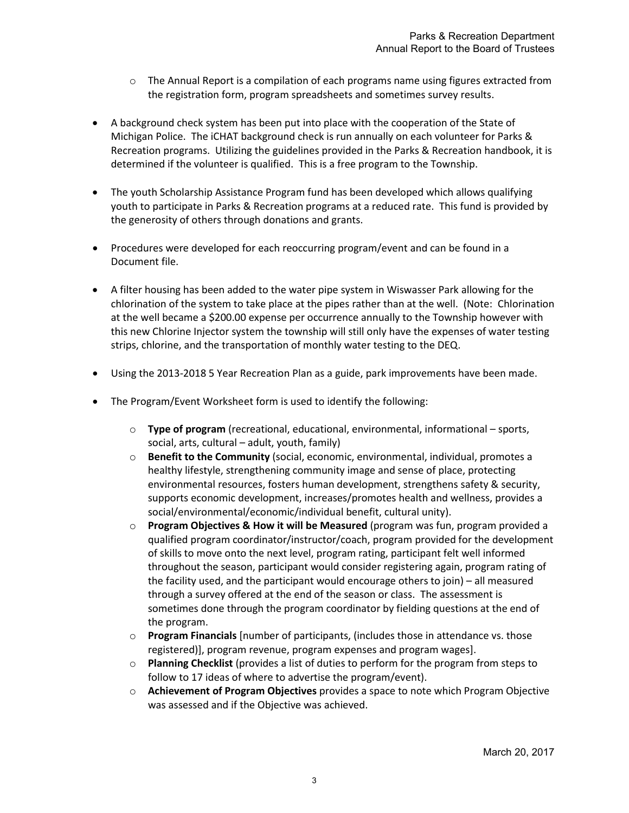- $\circ$  The Annual Report is a compilation of each programs name using figures extracted from the registration form, program spreadsheets and sometimes survey results.
- A background check system has been put into place with the cooperation of the State of Michigan Police. The iCHAT background check is run annually on each volunteer for Parks & Recreation programs. Utilizing the guidelines provided in the Parks & Recreation handbook, it is determined if the volunteer is qualified. This is a free program to the Township.
- The youth Scholarship Assistance Program fund has been developed which allows qualifying youth to participate in Parks & Recreation programs at a reduced rate. This fund is provided by the generosity of others through donations and grants.
- Procedures were developed for each reoccurring program/event and can be found in a Document file.
- A filter housing has been added to the water pipe system in Wiswasser Park allowing for the chlorination of the system to take place at the pipes rather than at the well. (Note: Chlorination at the well became a \$200.00 expense per occurrence annually to the Township however with this new Chlorine Injector system the township will still only have the expenses of water testing strips, chlorine, and the transportation of monthly water testing to the DEQ.
- Using the 2013-2018 5 Year Recreation Plan as a guide, park improvements have been made.
- The Program/Event Worksheet form is used to identify the following:
	- o **Type of program** (recreational, educational, environmental, informational sports, social, arts, cultural – adult, youth, family)
	- o **Benefit to the Community** (social, economic, environmental, individual, promotes a healthy lifestyle, strengthening community image and sense of place, protecting environmental resources, fosters human development, strengthens safety & security, supports economic development, increases/promotes health and wellness, provides a social/environmental/economic/individual benefit, cultural unity).
	- o **Program Objectives & How it will be Measured** (program was fun, program provided a qualified program coordinator/instructor/coach, program provided for the development of skills to move onto the next level, program rating, participant felt well informed throughout the season, participant would consider registering again, program rating of the facility used, and the participant would encourage others to join) – all measured through a survey offered at the end of the season or class. The assessment is sometimes done through the program coordinator by fielding questions at the end of the program.
	- o **Program Financials** [number of participants, (includes those in attendance vs. those registered)], program revenue, program expenses and program wages].
	- o **Planning Checklist** (provides a list of duties to perform for the program from steps to follow to 17 ideas of where to advertise the program/event).
	- o **Achievement of Program Objectives** provides a space to note which Program Objective was assessed and if the Objective was achieved.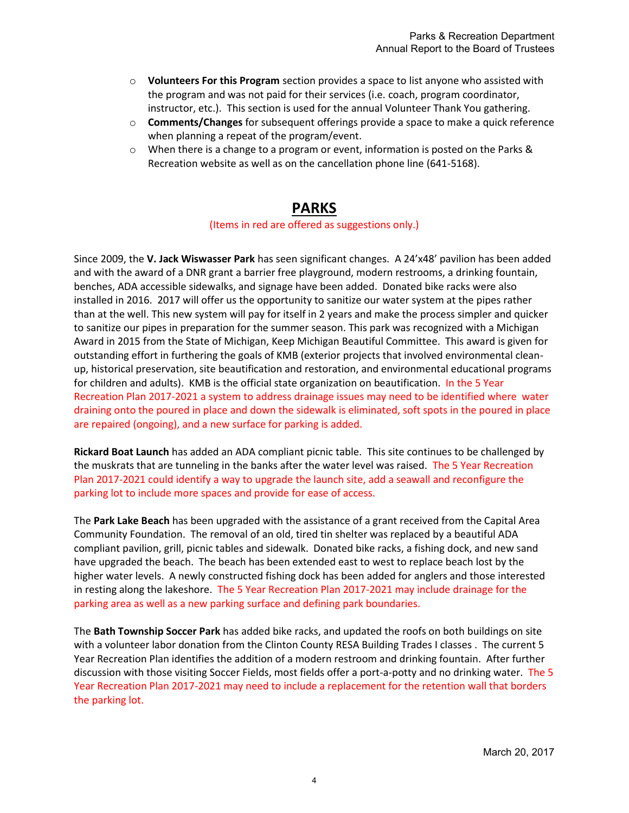- o **Volunteers For this Program** section provides a space to list anyone who assisted with the program and was not paid for their services (i.e. coach, program coordinator, instructor, etc.). This section is used for the annual Volunteer Thank You gathering.
- o **Comments/Changes** for subsequent offerings provide a space to make a quick reference when planning a repeat of the program/event.
- $\circ$  When there is a change to a program or event, information is posted on the Parks & Recreation website as well as on the cancellation phone line (641-5168).

## **PARKS**

#### (Items in red are offered as suggestions only.)

Since 2009, the **V. Jack Wiswasser Park** has seen significant changes. A 24'x48' pavilion has been added and with the award of a DNR grant a barrier free playground, modern restrooms, a drinking fountain, benches, ADA accessible sidewalks, and signage have been added. Donated bike racks were also installed in 2016. 2017 will offer us the opportunity to sanitize our water system at the pipes rather than at the well. This new system will pay for itself in 2 years and make the process simpler and quicker to sanitize our pipes in preparation for the summer season. This park was recognized with a Michigan Award in 2015 from the State of Michigan, Keep Michigan Beautiful Committee. This award is given for outstanding effort in furthering the goals of KMB (exterior projects that involved environmental cleanup, historical preservation, site beautification and restoration, and environmental educational programs for children and adults). KMB is the official state organization on beautification. In the 5 Year Recreation Plan 2017-2021 a system to address drainage issues may need to be identified where water draining onto the poured in place and down the sidewalk is eliminated, soft spots in the poured in place are repaired (ongoing), and a new surface for parking is added.

**Rickard Boat Launch** has added an ADA compliant picnic table. This site continues to be challenged by the muskrats that are tunneling in the banks after the water level was raised. The 5 Year Recreation Plan 2017-2021 could identify a way to upgrade the launch site, add a seawall and reconfigure the parking lot to include more spaces and provide for ease of access.

The **Park Lake Beach** has been upgraded with the assistance of a grant received from the Capital Area Community Foundation. The removal of an old, tired tin shelter was replaced by a beautiful ADA compliant pavilion, grill, picnic tables and sidewalk. Donated bike racks, a fishing dock, and new sand have upgraded the beach. The beach has been extended east to west to replace beach lost by the higher water levels. A newly constructed fishing dock has been added for anglers and those interested in resting along the lakeshore. The 5 Year Recreation Plan 2017-2021 may include drainage for the parking area as well as a new parking surface and defining park boundaries.

The **Bath Township Soccer Park** has added bike racks, and updated the roofs on both buildings on site with a volunteer labor donation from the Clinton County RESA Building Trades I classes . The current 5 Year Recreation Plan identifies the addition of a modern restroom and drinking fountain. After further discussion with those visiting Soccer Fields, most fields offer a port-a-potty and no drinking water. The 5 Year Recreation Plan 2017-2021 may need to include a replacement for the retention wall that borders the parking lot.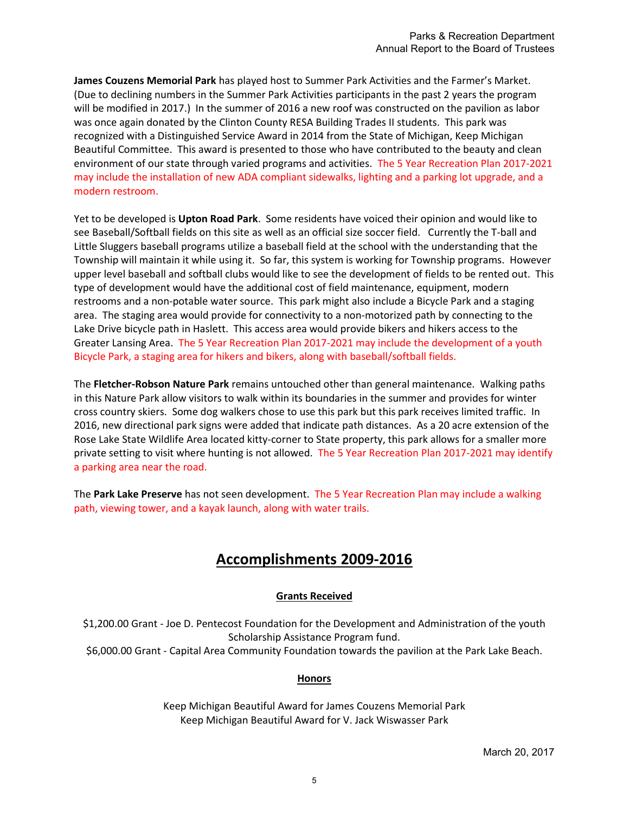**James Couzens Memorial Park** has played host to Summer Park Activities and the Farmer's Market. (Due to declining numbers in the Summer Park Activities participants in the past 2 years the program will be modified in 2017.) In the summer of 2016 a new roof was constructed on the pavilion as labor was once again donated by the Clinton County RESA Building Trades II students. This park was recognized with a Distinguished Service Award in 2014 from the State of Michigan, Keep Michigan Beautiful Committee. This award is presented to those who have contributed to the beauty and clean environment of our state through varied programs and activities. The 5 Year Recreation Plan 2017-2021 may include the installation of new ADA compliant sidewalks, lighting and a parking lot upgrade, and a modern restroom.

Yet to be developed is **Upton Road Park**. Some residents have voiced their opinion and would like to see Baseball/Softball fields on this site as well as an official size soccer field. Currently the T-ball and Little Sluggers baseball programs utilize a baseball field at the school with the understanding that the Township will maintain it while using it. So far, this system is working for Township programs. However upper level baseball and softball clubs would like to see the development of fields to be rented out. This type of development would have the additional cost of field maintenance, equipment, modern restrooms and a non-potable water source. This park might also include a Bicycle Park and a staging area. The staging area would provide for connectivity to a non-motorized path by connecting to the Lake Drive bicycle path in Haslett. This access area would provide bikers and hikers access to the Greater Lansing Area. The 5 Year Recreation Plan 2017-2021 may include the development of a youth Bicycle Park, a staging area for hikers and bikers, along with baseball/softball fields.

The **Fletcher-Robson Nature Park** remains untouched other than general maintenance. Walking paths in this Nature Park allow visitors to walk within its boundaries in the summer and provides for winter cross country skiers. Some dog walkers chose to use this park but this park receives limited traffic. In 2016, new directional park signs were added that indicate path distances. As a 20 acre extension of the Rose Lake State Wildlife Area located kitty-corner to State property, this park allows for a smaller more private setting to visit where hunting is not allowed. The 5 Year Recreation Plan 2017-2021 may identify a parking area near the road.

The **Park Lake Preserve** has not seen development. The 5 Year Recreation Plan may include a walking path, viewing tower, and a kayak launch, along with water trails.

# **Accomplishments 2009-2016**

## **Grants Received**

\$1,200.00 Grant - Joe D. Pentecost Foundation for the Development and Administration of the youth Scholarship Assistance Program fund. \$6,000.00 Grant - Capital Area Community Foundation towards the pavilion at the Park Lake Beach.

#### **Honors**

Keep Michigan Beautiful Award for James Couzens Memorial Park Keep Michigan Beautiful Award for V. Jack Wiswasser Park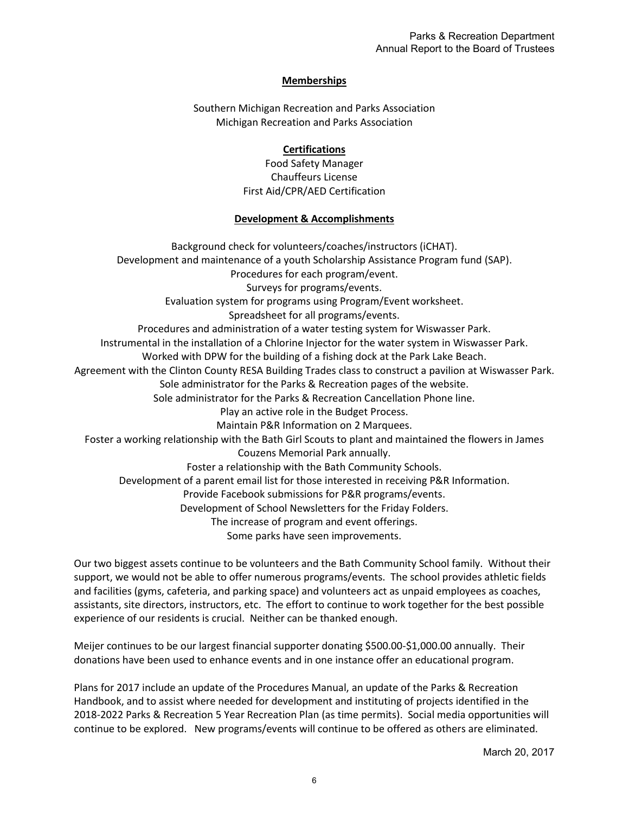#### Parks & Recreation Department Annual Report to the Board of Trustees

#### **Memberships**

Southern Michigan Recreation and Parks Association Michigan Recreation and Parks Association

### **Certifications**

Food Safety Manager Chauffeurs License First Aid/CPR/AED Certification

## **Development & Accomplishments**

Background check for volunteers/coaches/instructors (iCHAT). Development and maintenance of a youth Scholarship Assistance Program fund (SAP). Procedures for each program/event. Surveys for programs/events. Evaluation system for programs using Program/Event worksheet. Spreadsheet for all programs/events. Procedures and administration of a water testing system for Wiswasser Park. Instrumental in the installation of a Chlorine Injector for the water system in Wiswasser Park. Worked with DPW for the building of a fishing dock at the Park Lake Beach. Agreement with the Clinton County RESA Building Trades class to construct a pavilion at Wiswasser Park. Sole administrator for the Parks & Recreation pages of the website. Sole administrator for the Parks & Recreation Cancellation Phone line. Play an active role in the Budget Process. Maintain P&R Information on 2 Marquees. Foster a working relationship with the Bath Girl Scouts to plant and maintained the flowers in James Couzens Memorial Park annually. Foster a relationship with the Bath Community Schools. Development of a parent email list for those interested in receiving P&R Information. Provide Facebook submissions for P&R programs/events. Development of School Newsletters for the Friday Folders. The increase of program and event offerings. Some parks have seen improvements.

Our two biggest assets continue to be volunteers and the Bath Community School family. Without their support, we would not be able to offer numerous programs/events. The school provides athletic fields and facilities (gyms, cafeteria, and parking space) and volunteers act as unpaid employees as coaches, assistants, site directors, instructors, etc. The effort to continue to work together for the best possible experience of our residents is crucial. Neither can be thanked enough.

Meijer continues to be our largest financial supporter donating \$500.00-\$1,000.00 annually. Their donations have been used to enhance events and in one instance offer an educational program.

Plans for 2017 include an update of the Procedures Manual, an update of the Parks & Recreation Handbook, and to assist where needed for development and instituting of projects identified in the 2018-2022 Parks & Recreation 5 Year Recreation Plan (as time permits). Social media opportunities will continue to be explored. New programs/events will continue to be offered as others are eliminated.